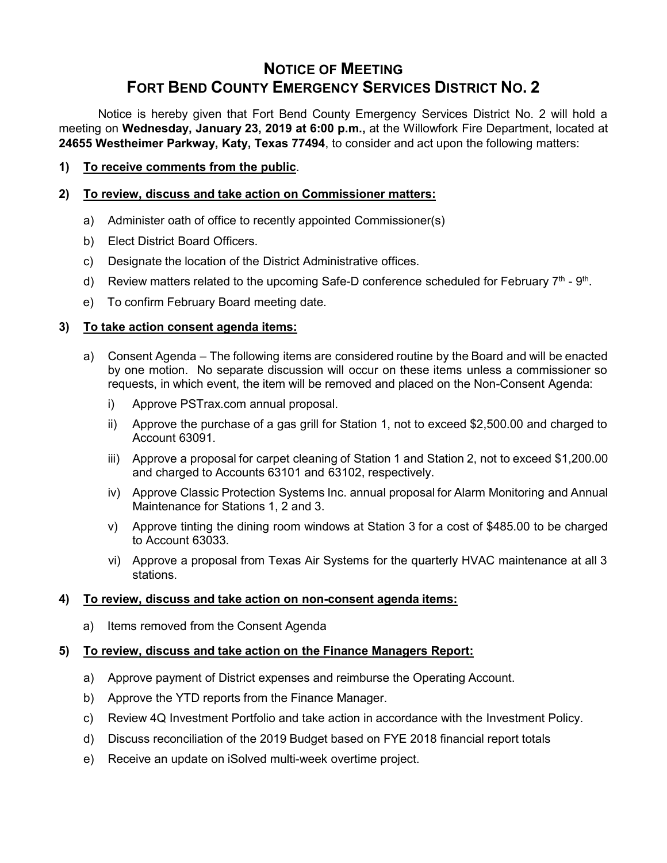# **NOTICE OF MEETING FORT BEND COUNTY EMERGENCY SERVICES DISTRICT NO. 2**

Notice is hereby given that Fort Bend County Emergency Services District No. 2 will hold a meeting on **Wednesday, January 23, 2019 at 6:00 p.m.,** at the Willowfork Fire Department, located at **24655 Westheimer Parkway, Katy, Texas 77494**, to consider and act upon the following matters:

#### **1) To receive comments from the public**.

#### **2) To review, discuss and take action on Commissioner matters:**

- a) Administer oath of office to recently appointed Commissioner(s)
- b) Elect District Board Officers.
- c) Designate the location of the District Administrative offices.
- d) Review matters related to the upcoming Safe-D conference scheduled for February 7<sup>th</sup> 9<sup>th</sup>.
- e) To confirm February Board meeting date.

## **3) To take action consent agenda items:**

- a) Consent Agenda The following items are considered routine by the Board and will be enacted by one motion. No separate discussion will occur on these items unless a commissioner so requests, in which event, the item will be removed and placed on the Non-Consent Agenda:
	- i) Approve PSTrax.com annual proposal.
	- ii) Approve the purchase of a gas grill for Station 1, not to exceed \$2,500.00 and charged to Account 63091.
	- iii) Approve a proposal for carpet cleaning of Station 1 and Station 2, not to exceed \$1,200.00 and charged to Accounts 63101 and 63102, respectively.
	- iv) Approve Classic Protection Systems Inc. annual proposal for Alarm Monitoring and Annual Maintenance for Stations 1, 2 and 3.
	- v) Approve tinting the dining room windows at Station 3 for a cost of \$485.00 to be charged to Account 63033.
	- vi) Approve a proposal from Texas Air Systems for the quarterly HVAC maintenance at all 3 stations.

#### **4) To review, discuss and take action on non-consent agenda items:**

a) Items removed from the Consent Agenda

## **5) To review, discuss and take action on the Finance Managers Report:**

- a) Approve payment of District expenses and reimburse the Operating Account.
- b) Approve the YTD reports from the Finance Manager.
- c) Review 4Q Investment Portfolio and take action in accordance with the Investment Policy.
- d) Discuss reconciliation of the 2019 Budget based on FYE 2018 financial report totals
- e) Receive an update on iSolved multi-week overtime project.